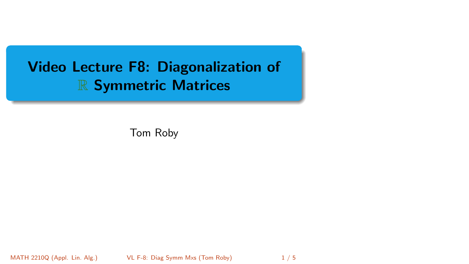# <span id="page-0-0"></span>Video Lecture F8: Diagonalization of R Symmetric Matrices

Tom Roby

MATH 2210Q (Appl. Lin. Alg.) [VL F-8: Diag Symm Mxs](#page-4-0) (Tom Roby) 1/5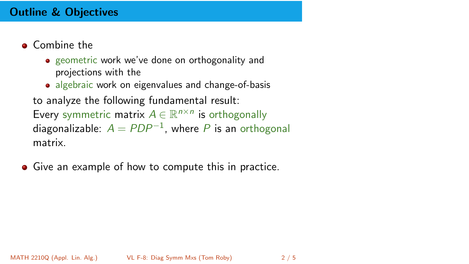# Outline & Objectives

- **o** Combine the
	- geometric work we've done on orthogonality and projections with the
	- algebraic work on eigenvalues and change-of-basis

to analyze the following fundamental result:

Every symmetric matrix  $A \in \mathbb{R}^{n \times n}$  is orthogonally diagonalizable:  $A = PDP^{-1}$ , where  $P$  is an orthogonal matrix.

**•** Give an example of how to compute this in practice.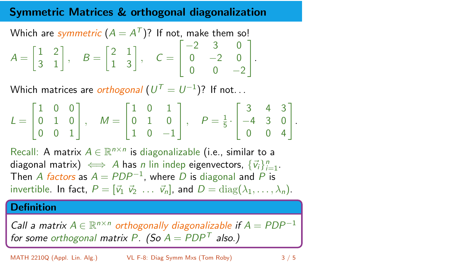# Symmetric Matrices & orthogonal diagonalization

Which are  $\emph{symmetric}~(A=A^{\mathcal{T}})?$  If not, make them so!

$$
A = \begin{bmatrix} 1 & 2 \\ 3 & 1 \end{bmatrix}, \quad B = \begin{bmatrix} 2 & 1 \\ 1 & 3 \end{bmatrix}, \quad C = \begin{bmatrix} -2 & 3 & 0 \\ 0 & -2 & 0 \\ 0 & 0 & -2 \end{bmatrix}.
$$

Which matrices are  $\it{orthogonal}$   $(U^{\mathcal{T}}=U^{-1})$ ? If not. . .

$$
L = \begin{bmatrix} 1 & 0 & 0 \\ 0 & 1 & 0 \\ 0 & 0 & 1 \end{bmatrix}, \quad M = \begin{bmatrix} 1 & 0 & 1 \\ 0 & 1 & 0 \\ 1 & 0 & -1 \end{bmatrix}, \quad P = \frac{1}{5} \cdot \begin{bmatrix} 3 & 4 & 3 \\ -4 & 3 & 0 \\ 0 & 0 & 4 \end{bmatrix}.
$$

Recall: A matrix  $A \in \mathbb{R}^{n \times n}$  is diagonalizable (i.e., similar to a diagonal matrix)  $\iff$  A has n lin indep eigenvectors,  $\{\vec{v}_i\}_{i=1}^n$ . Then A factors as  $A = PDP^{-1}$ , where  $D$  is diagonal and  $P$  is invertible. In fact,  $P = [\vec{v}_1 \ \vec{v}_2 \ \dots \ \vec{v}_n]$ , and  $D = \text{diag}(\lambda_1, \dots, \lambda_n)$ .

### **Definition**

Call a matrix  $A \in \mathbb{R}^{n \times n}$  orthogonally diagonalizable if  $A = PDP^{-1}$ for some orthogonal matrix P. (So  $A = PDP<sup>T</sup>$  also.)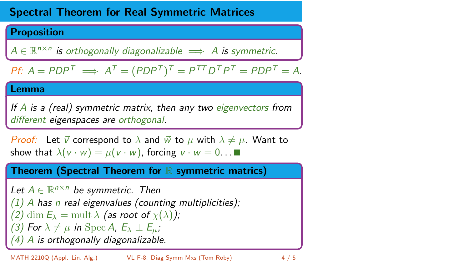# Spectral Theorem for Real Symmetric Matrices

### **Proposition**

 $A \in \mathbb{R}^{n \times n}$  is orthogonally diagonalizable  $\implies A$  is symmetric.

*Pf*: 
$$
A = PDP^T \implies A^T = (PDP^T)^T = P^{TT}D^TP^T = PDP^T = A
$$
.

### Lemma

If A is a (real) symmetric matrix, then any two eigenvectors from different eigenspaces are orthogonal.

*Proof:* Let  $\vec{v}$  correspond to  $\lambda$  and  $\vec{w}$  to  $\mu$  with  $\lambda \neq \mu$ . Want to show that  $\lambda(v \cdot w) = \mu(v \cdot w)$ , forcing  $v \cdot w = 0$ ...

Theorem (Spectral Theorem for  $\mathbb R$  symmetric matrics)

Let  $A \in \mathbb{R}^{n \times n}$  be symmetric. Then  $(1)$  A has n real eigenvalues (counting multiplicities); (2) dim  $E_{\lambda} = \text{mult} \lambda$  (as root of  $\chi(\lambda)$ ); (3) For  $\lambda \neq \mu$  in Spec A,  $E_{\lambda} \perp E_{\mu}$ ; (4) A is orthogonally diagonalizable.